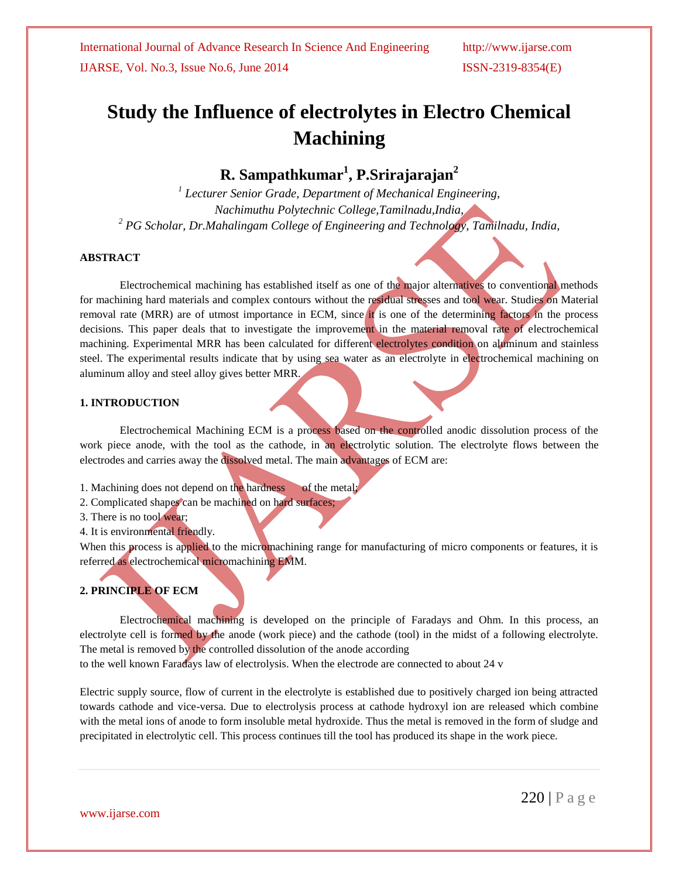# **Study the Influence of electrolytes in Electro Chemical Machining**

# **R. Sampathkumar<sup>1</sup> , P.Srirajarajan<sup>2</sup>**

*1 Lecturer Senior Grade, Department of Mechanical Engineering, Nachimuthu Polytechnic College,Tamilnadu,India, <sup>2</sup> PG Scholar, Dr.Mahalingam College of Engineering and Technology, Tamilnadu, India,*

#### **ABSTRACT**

Electrochemical machining has established itself as one of the major alternatives to conventional methods for machining hard materials and complex contours without the residual stresses and tool wear. Studies on Material removal rate (MRR) are of utmost importance in ECM, since it is one of the determining factors in the process decisions. This paper deals that to investigate the improvement in the material removal rate of electrochemical machining. Experimental MRR has been calculated for different electrolytes condition on aluminum and stainless steel. The experimental results indicate that by using sea water as an electrolyte in electrochemical machining on aluminum alloy and steel alloy gives better MRR.

#### **1. INTRODUCTION**

Electrochemical Machining ECM is a process based on the controlled anodic dissolution process of the work piece anode, with the tool as the cathode, in an electrolytic solution. The electrolyte flows between the electrodes and carries away the dissolved metal. The main advantages of ECM are:

- 1. Machining does not depend on the hardness of the metal;
- 2. Complicated shapes can be machined on hard surfaces;
- 3. There is no tool wear;
- 4. It is environmental friendly.

When this process is applied to the micromachining range for manufacturing of micro components or features, it is referred as electrochemical micromachining EMM.

## **2. PRINCIPLE OF ECM**

Electrochemical machining is developed on the principle of Faradays and Ohm. In this process, an electrolyte cell is formed by the anode (work piece) and the cathode (tool) in the midst of a following electrolyte. The metal is removed by the controlled dissolution of the anode according to the well known Faradays law of electrolysis. When the electrode are connected to about 24 v

Electric supply source, flow of current in the electrolyte is established due to positively charged ion being attracted towards cathode and vice-versa. Due to electrolysis process at cathode hydroxyl ion are released which combine with the metal ions of anode to form insoluble metal hydroxide. Thus the metal is removed in the form of sludge and precipitated in electrolytic cell. This process continues till the tool has produced its shape in the work piece.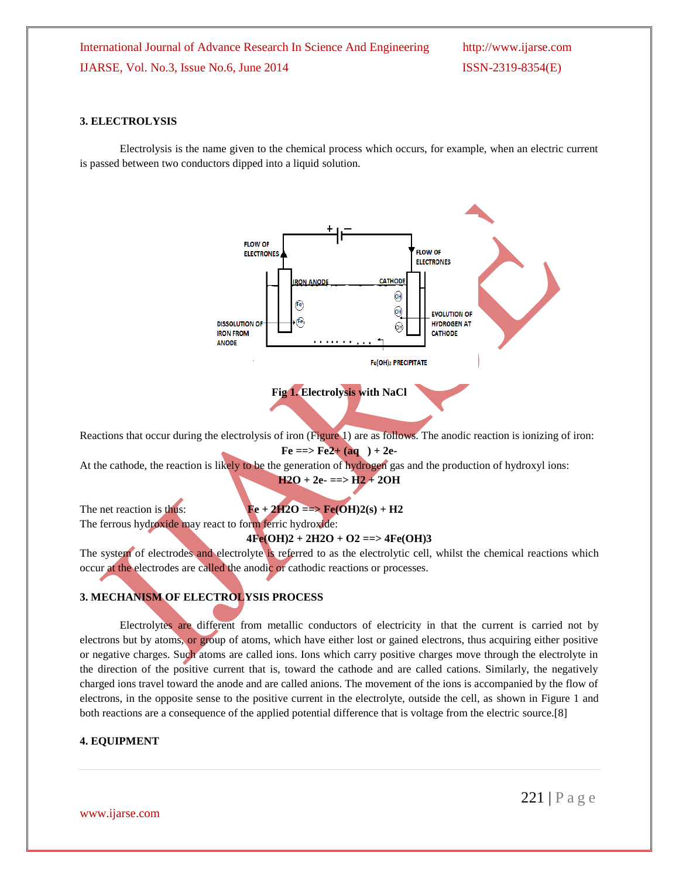#### **3. ELECTROLYSIS**

Electrolysis is the name given to the chemical process which occurs, for example, when an electric current is passed between two conductors dipped into a liquid solution.



The system of electrodes and electrolyte is referred to as the electrolytic cell, whilst the chemical reactions which occur at the electrodes are called the anodic or cathodic reactions or processes.

## **3. MECHANISM OF ELECTROLYSIS PROCESS**

Electrolytes are different from metallic conductors of electricity in that the current is carried not by electrons but by atoms, or group of atoms, which have either lost or gained electrons, thus acquiring either positive or negative charges. Such atoms are called ions. Ions which carry positive charges move through the electrolyte in the direction of the positive current that is, toward the cathode and are called cations. Similarly, the negatively charged ions travel toward the anode and are called anions. The movement of the ions is accompanied by the flow of electrons, in the opposite sense to the positive current in the electrolyte, outside the cell, as shown in Figure 1 and both reactions are a consequence of the applied potential difference that is voltage from the electric source.[8]

#### **4. EQUIPMENT**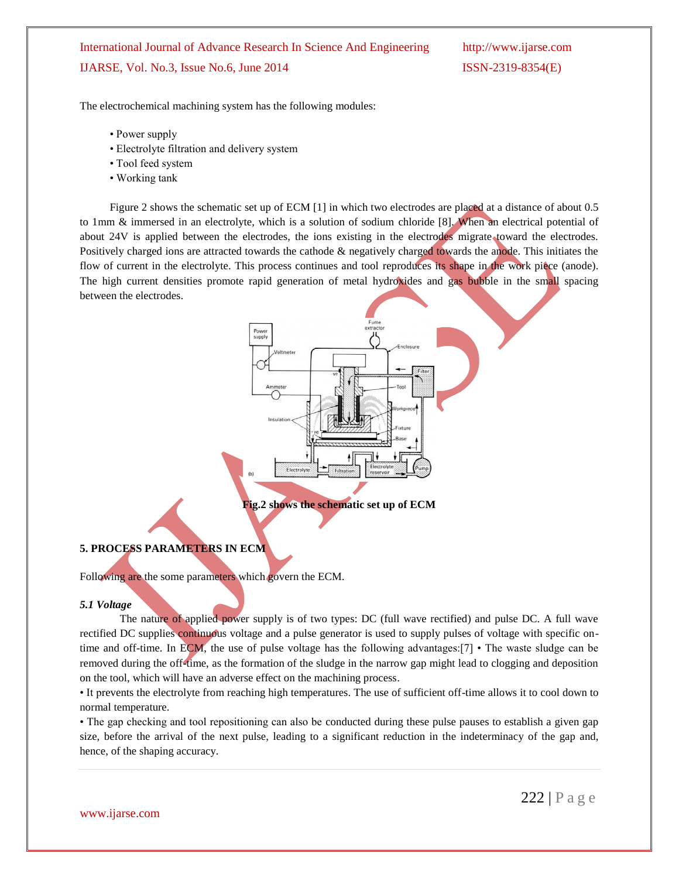The electrochemical machining system has the following modules:

- Power supply
- Electrolyte filtration and delivery system
- Tool feed system
- Working tank

Figure 2 shows the schematic set up of ECM [1] in which two electrodes are placed at a distance of about 0.5 to 1mm & immersed in an electrolyte, which is a solution of sodium chloride [8]. When an electrical potential of about 24V is applied between the electrodes, the ions existing in the electrodes migrate toward the electrodes. Positively charged ions are attracted towards the cathode & negatively charged towards the anode. This initiates the flow of current in the electrolyte. This process continues and tool reproduces its shape in the work piece (anode). The high current densities promote rapid generation of metal hydroxides and gas bubble in the small spacing between the electrodes.



**Fig.2 shows the schematic set up of ECM**

#### **5. PROCESS PARAMETERS IN ECM**

Following are the some parameters which govern the ECM.

#### *5.1 Voltage*

The nature of applied power supply is of two types: DC (full wave rectified) and pulse DC. A full wave rectified DC supplies continuous voltage and a pulse generator is used to supply pulses of voltage with specific ontime and off-time. In ECM, the use of pulse voltage has the following advantages:[7] • The waste sludge can be removed during the off-time, as the formation of the sludge in the narrow gap might lead to clogging and deposition on the tool, which will have an adverse effect on the machining process.

• It prevents the electrolyte from reaching high temperatures. The use of sufficient off-time allows it to cool down to normal temperature.

• The gap checking and tool repositioning can also be conducted during these pulse pauses to establish a given gap size, before the arrival of the next pulse, leading to a significant reduction in the indeterminacy of the gap and, hence, of the shaping accuracy.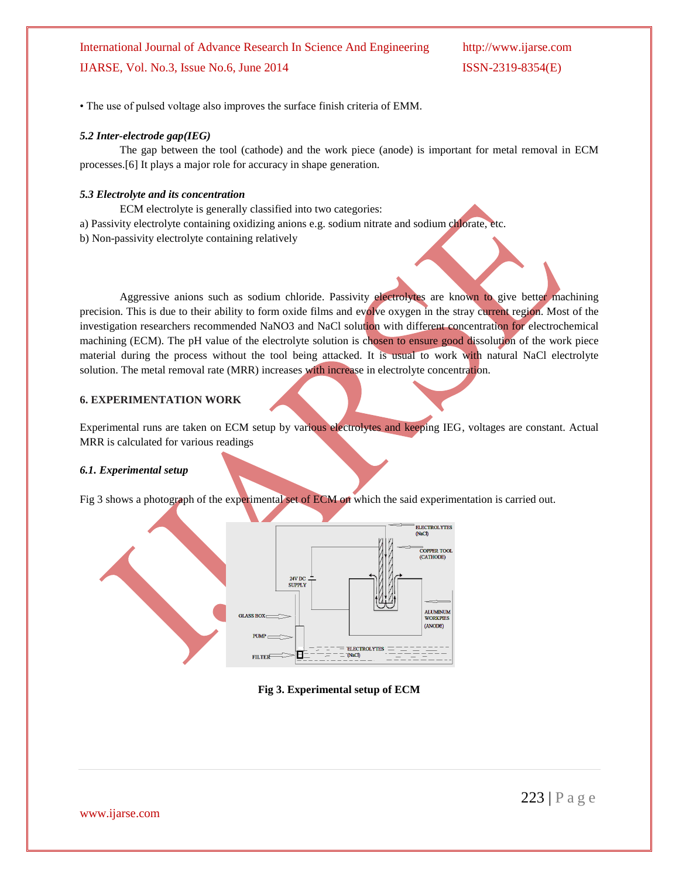• The use of pulsed voltage also improves the surface finish criteria of EMM.

#### *5.2 Inter-electrode gap(IEG)*

The gap between the tool (cathode) and the work piece (anode) is important for metal removal in ECM processes.[6] It plays a major role for accuracy in shape generation.

#### *5.3 Electrolyte and its concentration*

ECM electrolyte is generally classified into two categories:

a) Passivity electrolyte containing oxidizing anions e.g. sodium nitrate and sodium chlorate, etc.

b) Non-passivity electrolyte containing relatively

Aggressive anions such as sodium chloride. Passivity electrolytes are known to give better machining precision. This is due to their ability to form oxide films and evolve oxygen in the stray current region. Most of the investigation researchers recommended NaNO3 and NaCl solution with different concentration for electrochemical machining (ECM). The pH value of the electrolyte solution is chosen to ensure good dissolution of the work piece material during the process without the tool being attacked. It is usual to work with natural NaCl electrolyte solution. The metal removal rate (MRR) increases with increase in electrolyte concentration.

#### **6. EXPERIMENTATION WORK**

Experimental runs are taken on ECM setup by various electrolytes and keeping IEG, voltages are constant. Actual MRR is calculated for various readings

#### *6.1. Experimental setup*

Fig 3 shows a photograph of the experimental set of ECM on which the said experimentation is carried out.



**Fig 3. Experimental setup of ECM**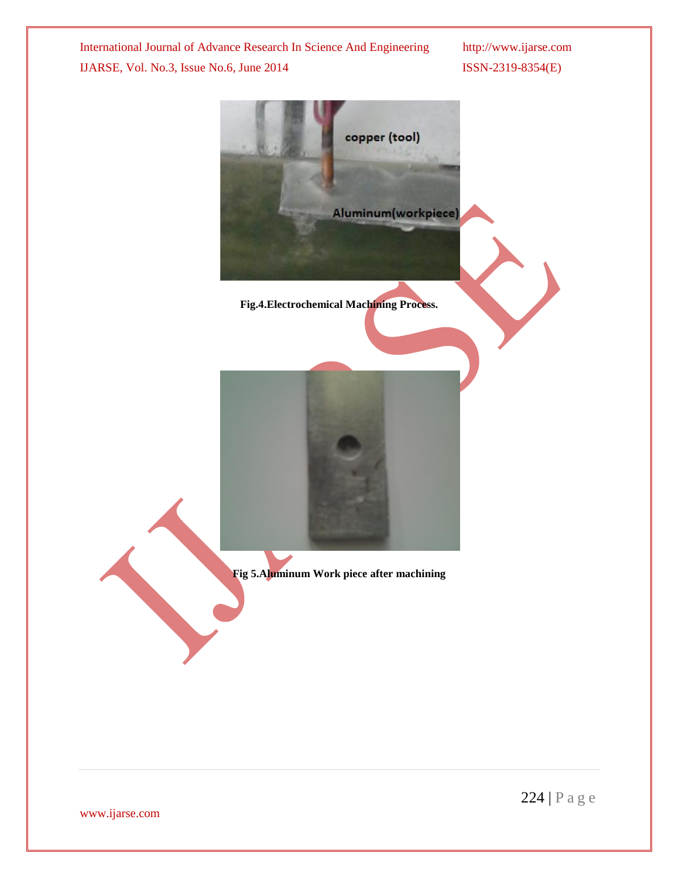

www.ijarse.com

224 | P a g e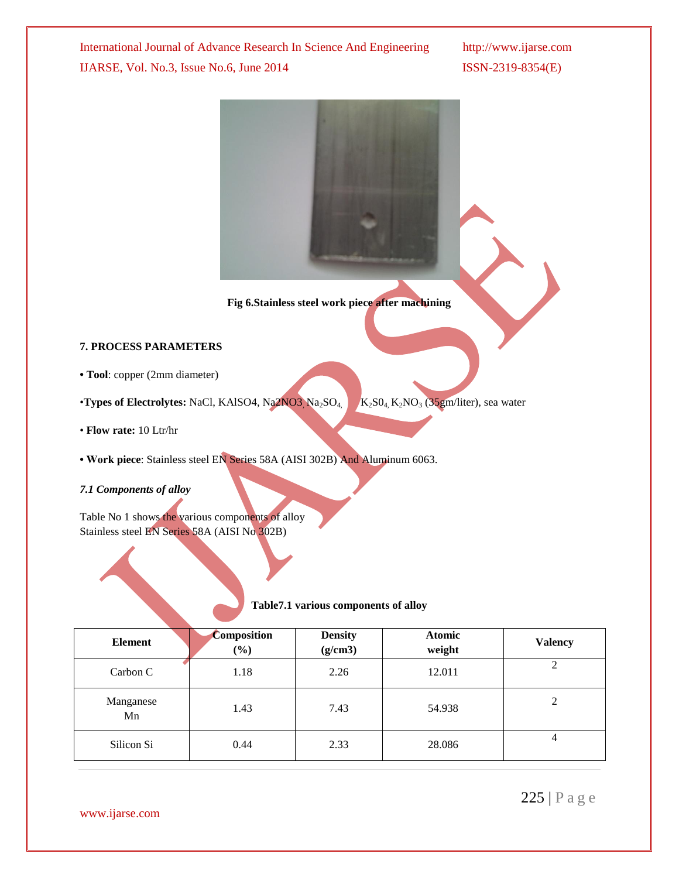**Fig 6.Stainless steel work piece after machining**

#### **7. PROCESS PARAMETERS**

- **Tool**: copper (2mm diameter)
- •**Types of Electrolytes:** NaCl, KAISO4, Na2NO3, Na<sub>2</sub>SO<sub>4</sub>, K<sub>2</sub>SO<sub>4</sub>, K<sub>2</sub>NO<sub>3</sub> (35gm/liter), sea water
- **Flow rate:** 10 Ltr/hr
- **Work piece**: Stainless steel EN Series 58A (AISI 302B) And Aluminum 6063.

#### *7.1 Components of alloy*

Table No 1 shows the various components of alloy Stainless steel EN Series 58A (AISI No 302B)

#### **Table7.1 various components of alloy**

| <b>Element</b>  | Composition<br>$(\%)$ | <b>Density</b><br>(g/cm3) | <b>Atomic</b><br>weight | <b>Valency</b> |
|-----------------|-----------------------|---------------------------|-------------------------|----------------|
| Carbon C        | 1.18                  | 2.26                      | 12.011                  |                |
| Manganese<br>Mn | 1.43                  | 7.43                      | 54.938                  | ↑              |
| Silicon Si      | 0.44                  | 2.33                      | 28.086                  | 4              |

225 | P a g e

www.ijarse.com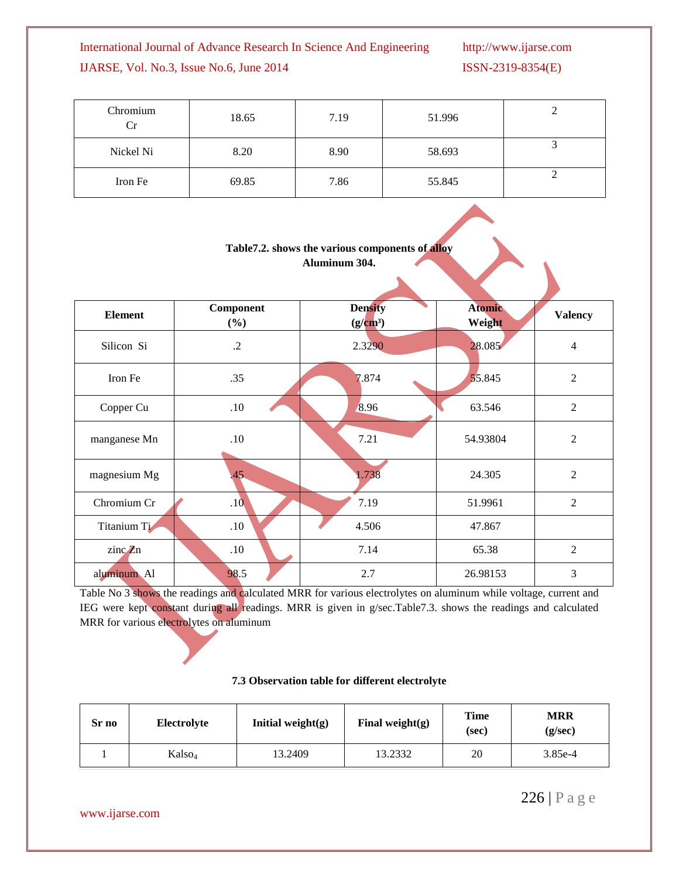| Chromium<br>Cr | 18.65 | 7.19 | 51.996 |  |
|----------------|-------|------|--------|--|
| Nickel Ni      | 8.20  | 8.90 | 58.693 |  |
| Iron Fe        | 69.85 | 7.86 | 55.845 |  |

#### **Table7.2. shows the various components of alloy Aluminum 304.**

| <b>Element</b> | Component<br>$(\%)$ | <b>Density</b><br>$(g/cm^3)$ | <b>Atomic</b><br>Weight | <b>Valency</b> |
|----------------|---------------------|------------------------------|-------------------------|----------------|
| Silicon Si     | $\cdot$             | 2.3290                       | 28.085                  | $\overline{4}$ |
| Iron Fe        | .35                 | 7.874                        | 55.845                  | $\overline{2}$ |
| Copper Cu      | .10                 | 8.96                         | 63.546                  | $\overline{2}$ |
| manganese Mn   | .10                 | 7.21                         | 54.93804                | $\overline{c}$ |
| magnesium Mg   | .45 <sub>1</sub>    | 1.738                        | 24.305                  | $\overline{2}$ |
| Chromium Cr    | .10                 | 7.19                         | 51.9961                 | $\overline{2}$ |
| Titanium Ti    | .10                 | 4.506                        | 47.867                  |                |
| zinc Zn        | .10                 | 7.14                         | 65.38                   | $\overline{2}$ |
| aluminum Al    | 98.5                | 2.7                          | 26.98153                | 3              |

Table No 3 shows the readings and calculated MRR for various electrolytes on aluminum while voltage, current and IEG were kept constant during all readings. MRR is given in g/sec.Table7.3. shows the readings and calculated MRR for various electrolytes on aluminum

| Sr no | Electrolyte        | Initial weight $(g)$ | Final weight $(g)$ | Time<br>(sec) | <b>MRR</b><br>(g/sec) |
|-------|--------------------|----------------------|--------------------|---------------|-----------------------|
|       | Kalso <sub>4</sub> | 13.2409              | 13.2332            | 20            | $3.85e-4$             |

#### **7.3 Observation table for different electrolyte**

226 | P a g e

www.ijarse.com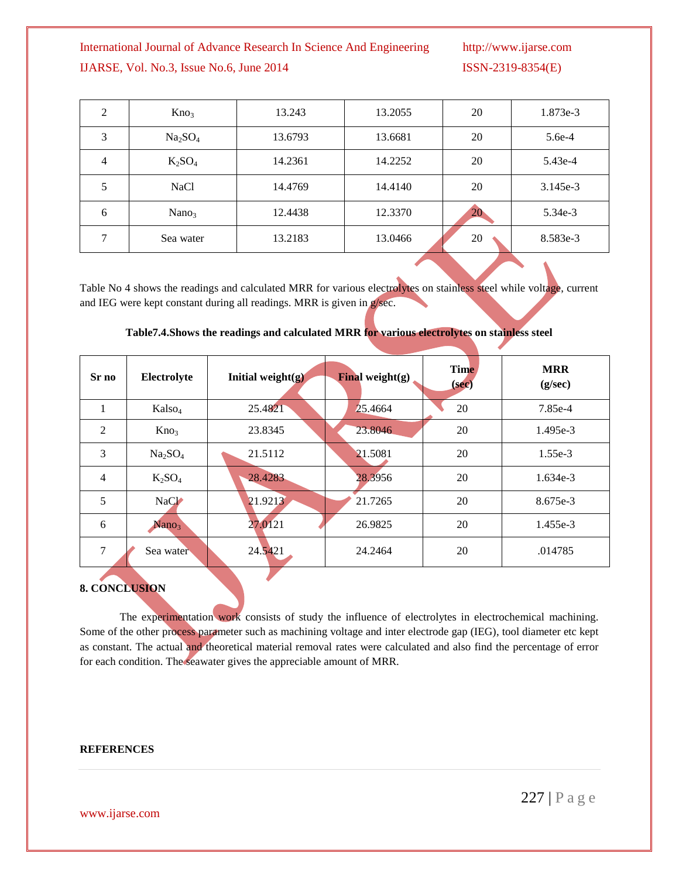| $\overline{2}$ | Kno <sub>3</sub>                | 13.243  | 13.2055 | 20 | 1.873e-3   |
|----------------|---------------------------------|---------|---------|----|------------|
| 3              | Na <sub>2</sub> SO <sub>4</sub> | 13.6793 | 13.6681 | 20 | 5.6e-4     |
| 4              | $K_2SO_4$                       | 14.2361 | 14.2252 | 20 | $5.43e-4$  |
| 5              | NaC <sub>1</sub>                | 14.4769 | 14.4140 | 20 | $3.145e-3$ |
| 6              | Nano <sub>3</sub>               | 12.4438 | 12.3370 | 20 | 5.34e-3    |
| 7              | Sea water                       | 13.2183 | 13.0466 | 20 | 8.583e-3   |

Table No 4 shows the readings and calculated MRR for various electrolytes on stainless steel while voltage, current and IEG were kept constant during all readings. MRR is given in *g*/sec.

**Table7.4.Shows the readings and calculated MRR for various electrolytes on stainless steel**

| Sr no          | Electrolyte                     | Initial weight $(g)$ | Final weight(g) | <b>Time</b><br>(sec) | <b>MRR</b><br>(g/sec) |
|----------------|---------------------------------|----------------------|-----------------|----------------------|-----------------------|
| 1              | Kalso <sub>4</sub>              | 25.4821              | 25.4664         | 20                   | 7.85e-4               |
| 2              | Kno <sub>3</sub>                | 23.8345              | 23.8046         | 20                   | 1.495e-3              |
| 3              | Na <sub>2</sub> SO <sub>4</sub> | 21.5112              | 21.5081         | 20                   | $1.55e-3$             |
| $\overline{4}$ | $K_2SO_4$                       | 28.4283              | 28.3956         | 20                   | $1.634e-3$            |
| 5              | NaCl <sup>+</sup>               | 21.9213              | 21.7265         | 20                   | 8.675e-3              |
| 6              | Nano <sub>3</sub>               | 27.0121              | 26.9825         | 20                   | 1.455e-3              |
| 7              | Sea water                       | 24.5421              | 24.2464         | 20                   | .014785               |
|                |                                 |                      |                 |                      |                       |

# **8. CONCLUSION**

The experimentation work consists of study the influence of electrolytes in electrochemical machining. Some of the other process parameter such as machining voltage and inter electrode gap (IEG), tool diameter etc kept as constant. The actual and theoretical material removal rates were calculated and also find the percentage of error for each condition. The seawater gives the appreciable amount of MRR.

#### **REFERENCES**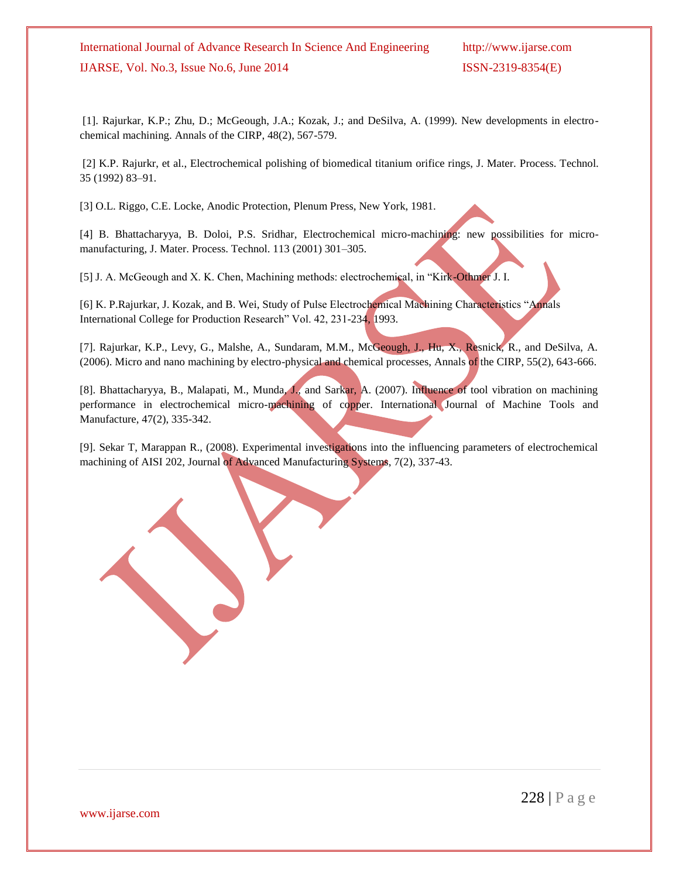[1]. Rajurkar, K.P.; Zhu, D.; McGeough, J.A.; Kozak, J.; and DeSilva, A. (1999). New developments in electrochemical machining. Annals of the CIRP, 48(2), 567-579.

[2] K.P. Rajurkr, et al., Electrochemical polishing of biomedical titanium orifice rings, J. Mater. Process. Technol. 35 (1992) 83–91.

[3] O.L. Riggo, C.E. Locke, Anodic Protection, Plenum Press, New York, 1981.

[4] B. Bhattacharyya, B. Doloi, P.S. Sridhar, Electrochemical micro-machining: new possibilities for micromanufacturing, J. Mater. Process. Technol. 113 (2001) 301–305.

[5] J. A. McGeough and X. K. Chen, Machining methods: electrochemical, in "Kirk-Othmer J. I.

[6] K. P.Rajurkar, J. Kozak, and B. Wei, Study of Pulse Electrochemical Machining Characteristics "Annals International College for Production Research" Vol. 42, 231-234, 1993.

[7]. Rajurkar, K.P., Levy, G., Malshe, A., Sundaram, M.M., McGeough, J., Hu, X., Resnick, R., and DeSilva, A. (2006). Micro and nano machining by electro-physical and chemical processes, Annals of the CIRP, 55(2), 643-666.

[8]. Bhattacharyya, B., Malapati, M., Munda, J., and Sarkar, A. (2007). Influence of tool vibration on machining performance in electrochemical micro-machining of copper. International Journal of Machine Tools and Manufacture, 47(2), 335-342.

[9]. Sekar T, Marappan R., (2008). Experimental investigations into the influencing parameters of electrochemical machining of AISI 202, Journal of Advanced Manufacturing Systems, 7(2), 337-43.